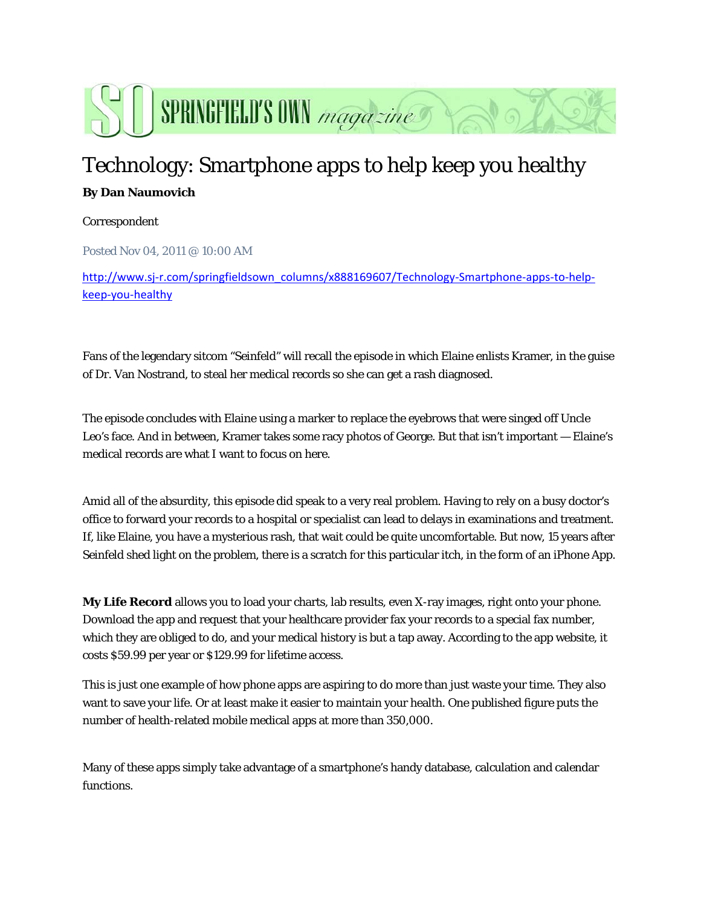

## Technology: Smartphone apps to help keep you healthy **By Dan Naumovich**

## Correspondent

Posted Nov 04, 2011 @ 10:00 AM

http://www.sj-r.com/springfieldsown\_columns/x888169607/Technology-Smartphone-apps-to-helpkeep‐you‐healthy

Fans of the legendary sitcom "Seinfeld" will recall the episode in which Elaine enlists Kramer, in the guise of Dr. Van Nostrand, to steal her medical records so she can get a rash diagnosed.

The episode concludes with Elaine using a marker to replace the eyebrows that were singed off Uncle Leo's face. And in between, Kramer takes some racy photos of George. But that isn't important — Elaine's medical records are what I want to focus on here.

Amid all of the absurdity, this episode did speak to a very real problem. Having to rely on a busy doctor's office to forward your records to a hospital or specialist can lead to delays in examinations and treatment. If, like Elaine, you have a mysterious rash, that wait could be quite uncomfortable. But now, 15 years after Seinfeld shed light on the problem, there is a scratch for this particular itch, in the form of an iPhone App.

**My Life Record** allows you to load your charts, lab results, even X-ray images, right onto your phone. Download the app and request that your healthcare provider fax your records to a special fax number, which they are obliged to do, and your medical history is but a tap away. According to the app website, it costs \$59.99 per year or \$129.99 for lifetime access.

This is just one example of how phone apps are aspiring to do more than just waste your time. They also want to save your life. Or at least make it easier to maintain your health. One published figure puts the number of health-related mobile medical apps at more than 350,000.

Many of these apps simply take advantage of a smartphone's handy database, calculation and calendar functions.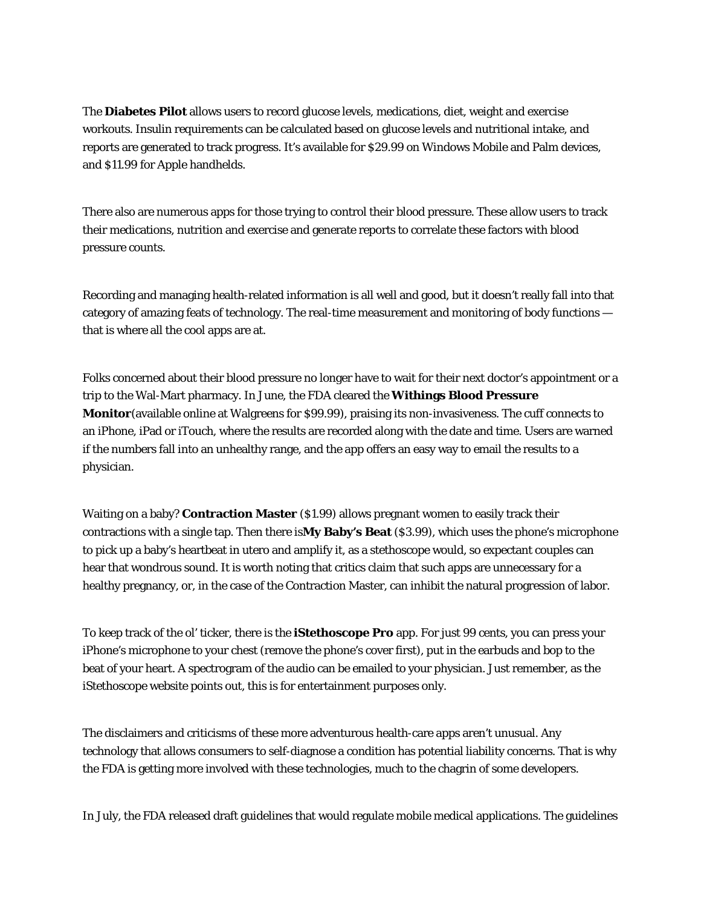The **Diabetes Pilot** allows users to record glucose levels, medications, diet, weight and exercise workouts. Insulin requirements can be calculated based on glucose levels and nutritional intake, and reports are generated to track progress. It's available for \$29.99 on Windows Mobile and Palm devices, and \$11.99 for Apple handhelds.

There also are numerous apps for those trying to control their blood pressure. These allow users to track their medications, nutrition and exercise and generate reports to correlate these factors with blood pressure counts.

Recording and managing health-related information is all well and good, but it doesn't really fall into that category of amazing feats of technology. The real-time measurement and monitoring of body functions that is where all the cool apps are at.

Folks concerned about their blood pressure no longer have to wait for their next doctor's appointment or a trip to the Wal-Mart pharmacy. In June, the FDA cleared the **Withings Blood Pressure Monitor**(available online at Walgreens for \$99.99), praising its non-invasiveness. The cuff connects to an iPhone, iPad or iTouch, where the results are recorded along with the date and time. Users are warned if the numbers fall into an unhealthy range, and the app offers an easy way to email the results to a physician.

Waiting on a baby? **Contraction Master** (\$1.99) allows pregnant women to easily track their contractions with a single tap. Then there is**My Baby's Beat** (\$3.99), which uses the phone's microphone to pick up a baby's heartbeat in utero and amplify it, as a stethoscope would, so expectant couples can hear that wondrous sound. It is worth noting that critics claim that such apps are unnecessary for a healthy pregnancy, or, in the case of the Contraction Master, can inhibit the natural progression of labor.

To keep track of the ol' ticker, there is the **iStethoscope Pro** app. For just 99 cents, you can press your iPhone's microphone to your chest (remove the phone's cover first), put in the earbuds and bop to the beat of your heart. A spectrogram of the audio can be emailed to your physician. Just remember, as the iStethoscope website points out, this is for entertainment purposes only.

The disclaimers and criticisms of these more adventurous health-care apps aren't unusual. Any technology that allows consumers to self-diagnose a condition has potential liability concerns. That is why the FDA is getting more involved with these technologies, much to the chagrin of some developers.

In July, the FDA released draft guidelines that would regulate mobile medical applications. The guidelines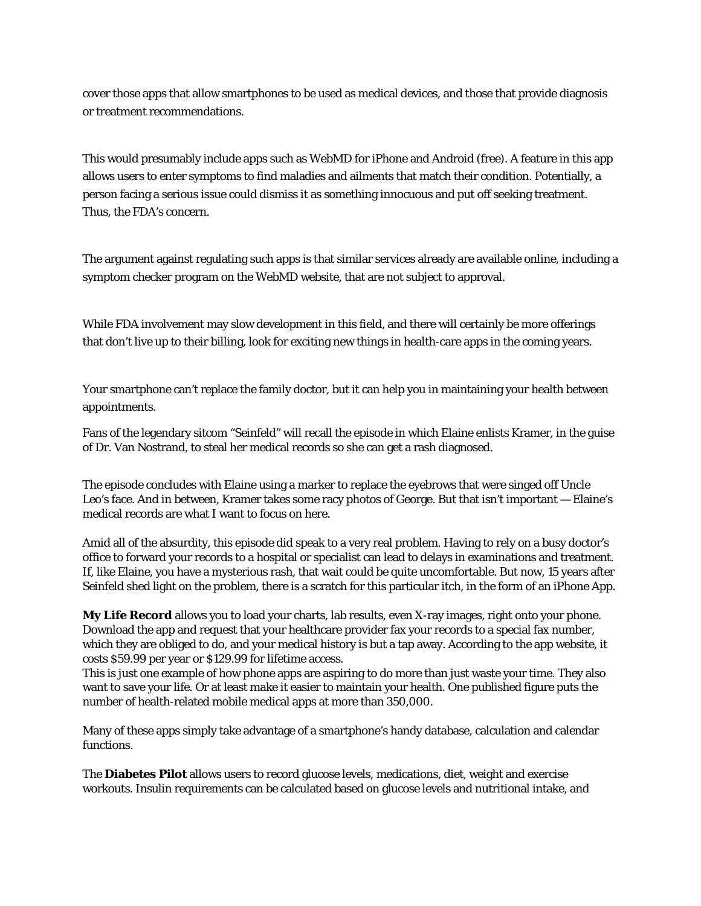cover those apps that allow smartphones to be used as medical devices, and those that provide diagnosis or treatment recommendations.

This would presumably include apps such as WebMD for iPhone and Android (free). A feature in this app allows users to enter symptoms to find maladies and ailments that match their condition. Potentially, a person facing a serious issue could dismiss it as something innocuous and put off seeking treatment. Thus, the FDA's concern.

The argument against regulating such apps is that similar services already are available online, including a symptom checker program on the WebMD website, that are not subject to approval.

While FDA involvement may slow development in this field, and there will certainly be more offerings that don't live up to their billing, look for exciting new things in health-care apps in the coming years.

Your smartphone can't replace the family doctor, but it can help you in maintaining your health between appointments.

Fans of the legendary sitcom "Seinfeld" will recall the episode in which Elaine enlists Kramer, in the guise of Dr. Van Nostrand, to steal her medical records so she can get a rash diagnosed.

The episode concludes with Elaine using a marker to replace the eyebrows that were singed off Uncle Leo's face. And in between, Kramer takes some racy photos of George. But that isn't important — Elaine's medical records are what I want to focus on here.

Amid all of the absurdity, this episode did speak to a very real problem. Having to rely on a busy doctor's office to forward your records to a hospital or specialist can lead to delays in examinations and treatment. If, like Elaine, you have a mysterious rash, that wait could be quite uncomfortable. But now, 15 years after Seinfeld shed light on the problem, there is a scratch for this particular itch, in the form of an iPhone App.

**My Life Record** allows you to load your charts, lab results, even X-ray images, right onto your phone. Download the app and request that your healthcare provider fax your records to a special fax number, which they are obliged to do, and your medical history is but a tap away. According to the app website, it costs \$59.99 per year or \$129.99 for lifetime access.

This is just one example of how phone apps are aspiring to do more than just waste your time. They also want to save your life. Or at least make it easier to maintain your health. One published figure puts the number of health-related mobile medical apps at more than 350,000.

Many of these apps simply take advantage of a smartphone's handy database, calculation and calendar functions.

The **Diabetes Pilot** allows users to record glucose levels, medications, diet, weight and exercise workouts. Insulin requirements can be calculated based on glucose levels and nutritional intake, and